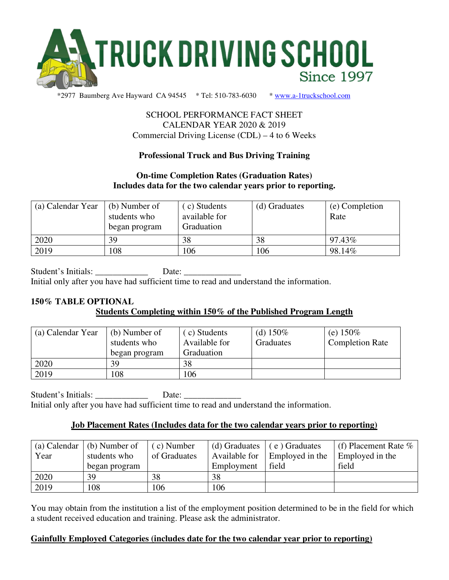

## SCHOOL PERFORMANCE FACT SHEET CALENDAR YEAR 2020 & 2019 Commercial Driving License (CDL) – 4 to 6 Weeks

## **Professional Truck and Bus Driving Training**

## **On-time Completion Rates (Graduation Rates) Includes data for the two calendar years prior to reporting.**

| (a) Calendar Year | (b) Number of<br>students who<br>began program | (c) Students<br>available for<br>Graduation | (d) Graduates | (e) Completion<br>Rate |
|-------------------|------------------------------------------------|---------------------------------------------|---------------|------------------------|
| 2020              | 39                                             | 38                                          | 38            | 97.43%                 |
| 2019              | 108                                            | 106                                         | 106           | 98.14%                 |

Student's Initials: Date: Initial only after you have had sufficient time to read and understand the information.

## **150% TABLE OPTIONAL Students Completing within 150% of the Published Program Length**

| (a) Calendar Year | (b) Number of<br>students who<br>began program | (c) Students<br>Available for<br>Graduation | (d) $150\%$<br>Graduates | (e) $150\%$<br><b>Completion Rate</b> |
|-------------------|------------------------------------------------|---------------------------------------------|--------------------------|---------------------------------------|
| 2020              | 39                                             | 38                                          |                          |                                       |
| 2019              | 108                                            | 106                                         |                          |                                       |

Student's Initials: \_\_\_\_\_\_\_\_\_\_\_\_\_\_\_ Date: \_\_\_\_\_\_\_\_\_\_ Initial only after you have had sufficient time to read and understand the information.

## **Job Placement Rates (Includes data for the two calendar years prior to reporting)**

| (a) Calendar | (b) Number of | $(c)$ Number | (d) Graduates | e) Graduates    | (f) Placement Rate $\%$ |
|--------------|---------------|--------------|---------------|-----------------|-------------------------|
| Year         | students who  | of Graduates | Available for | Employed in the | Employed in the         |
|              | began program |              | Employment    | field           | field                   |
| 2020         | 39            | 38           | 38            |                 |                         |
| 2019         | 108           | 106          | 106           |                 |                         |

You may obtain from the institution a list of the employment position determined to be in the field for which a student received education and training. Please ask the administrator.

## **Gainfully Employed Categories (includes date for the two calendar year prior to reporting)**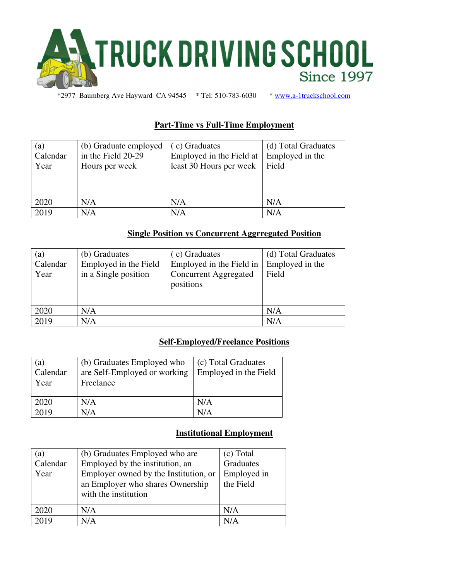

# **Part-Time vs Full-Time Employment**

| (a)<br>Calendar<br>Year | (b) Graduate employed<br>in the Field 20-29<br>Hours per week | (c) Graduates<br>Employed in the Field at<br>least 30 Hours per week | (d) Total Graduates<br>Employed in the<br>Field |
|-------------------------|---------------------------------------------------------------|----------------------------------------------------------------------|-------------------------------------------------|
| 2020                    | N/A                                                           | N/A                                                                  | N/A                                             |
| 2019                    | N/A                                                           | N/A                                                                  | N/A                                             |

### **Single Position vs Concurrent Aggrregated Position**

| (a)<br>Calendar<br>Year | (b) Graduates<br>Employed in the Field<br>in a Single position | (c) Graduates<br>Employed in the Field in<br><b>Concurrent Aggregated</b><br>positions | (d) Total Graduates<br>Employed in the<br>Field |
|-------------------------|----------------------------------------------------------------|----------------------------------------------------------------------------------------|-------------------------------------------------|
| 2020                    | N/A                                                            |                                                                                        | N/A                                             |
| 2019                    | N/A                                                            |                                                                                        | N/A                                             |

## **Self-Employed/Freelance Positions**

| (a)<br>Calendar<br>Year | (b) Graduates Employed who<br>are Self-Employed or working<br>Freelance | (c) Total Graduates<br>Employed in the Field |
|-------------------------|-------------------------------------------------------------------------|----------------------------------------------|
| 2020                    | N/A                                                                     | N/A                                          |
| 2019                    | N/A                                                                     | N/A                                          |

## **Institutional Employment**

| (a)      | (b) Graduates Employed who are        | (c) Total   |
|----------|---------------------------------------|-------------|
| Calendar | Employed by the institution, an       | Graduates   |
| Year     | Employer owned by the Institution, or | Employed in |
|          | an Employer who shares Ownership      | the Field   |
|          | with the institution                  |             |
| 2020     | N/A                                   | N/A         |
| 2019     | N/A                                   | N/A         |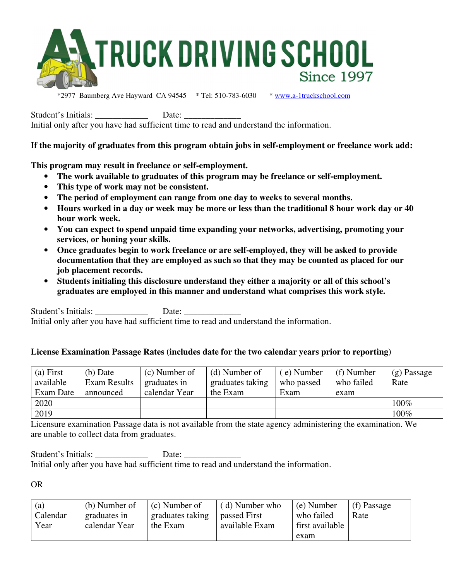

Student's Initials: \_\_\_\_\_\_\_\_\_\_\_\_ Date: \_\_\_\_\_\_\_\_\_\_\_\_\_

Initial only after you have had sufficient time to read and understand the information.

## **If the majority of graduates from this program obtain jobs in self-employment or freelance work add:**

**This program may result in freelance or self-employment.** 

- **The work available to graduates of this program may be freelance or self-employment.**
- **This type of work may not be consistent.**
- **The period of employment can range from one day to weeks to several months.**
- **Hours worked in a day or week may be more or less than the traditional 8 hour work day or 40 hour work week.**
- **You can expect to spend unpaid time expanding your networks, advertising, promoting your services, or honing your skills.**
- **Once graduates begin to work freelance or are self-employed, they will be asked to provide documentation that they are employed as such so that they may be counted as placed for our job placement records.**
- **Students initialing this disclosure understand they either a majority or all of this school's graduates are employed in this manner and understand what comprises this work style.**

Student's Initials: Date: Initial only after you have had sufficient time to read and understand the information.

## **License Examination Passage Rates (includes date for the two calendar years prior to reporting)**

| (a) First | $(b)$ Date   | (c) Number of | (d) Number of    | (e) Number | $(f)$ Number | $(g)$ Passage |
|-----------|--------------|---------------|------------------|------------|--------------|---------------|
| available | Exam Results | graduates in  | graduates taking | who passed | who failed   | Rate          |
| Exam Date | announced    | calendar Year | the Exam         | Exam       | exam         |               |
| 2020      |              |               |                  |            |              | $100\%$       |
| 2019      |              |               |                  |            |              | 100%          |

Licensure examination Passage data is not available from the state agency administering the examination. We are unable to collect data from graduates.

Student's Initials: Date: Initial only after you have had sufficient time to read and understand the information.

OR

| (a)      | (b) Number of | (c) Number of    | (d) Number who | (e) Number      | (f) Passage |
|----------|---------------|------------------|----------------|-----------------|-------------|
| Calendar | graduates in  | graduates taking | passed First   | who failed      | Rate        |
| Year     | calendar Year | the Exam         | available Exam | first available |             |
|          |               |                  |                | exam            |             |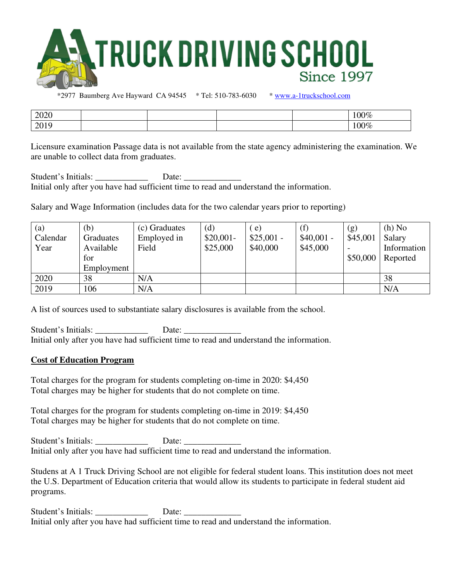

| 2020                                  |  |  | 100%               |
|---------------------------------------|--|--|--------------------|
| $\mathcal{D}$ $\mathcal{D}$ 1<br>2012 |  |  | $\Omega$<br>$J0\%$ |

Licensure examination Passage data is not available from the state agency administering the examination. We are unable to collect data from graduates.

Student's Initials: \_\_\_\_\_\_\_\_\_\_\_\_\_\_\_\_\_\_\_\_\_\_\_ Date: \_\_\_\_\_\_\_\_\_\_\_\_\_\_\_\_\_\_\_\_\_\_\_\_\_\_\_\_\_\_ Initial only after you have had sufficient time to read and understand the information.

Salary and Wage Information (includes data for the two calendar years prior to reporting)

| (a)      | (b)              | (c) Graduates | (d)        | e)          | (f)         | (g)      | $(h)$ No    |
|----------|------------------|---------------|------------|-------------|-------------|----------|-------------|
| Calendar | <b>Graduates</b> | Employed in   | $$20,001-$ | $$25,001$ - | $$40,001$ - | \$45,001 | Salary      |
| Year     | Available        | Field         | \$25,000   | \$40,000    | \$45,000    |          | Information |
|          | for              |               |            |             |             | \$50,000 | Reported    |
|          | Employment       |               |            |             |             |          |             |
| 2020     | 38               | N/A           |            |             |             |          | 38          |
| 2019     | 106              | N/A           |            |             |             |          | N/A         |

A list of sources used to substantiate salary disclosures is available from the school.

Student's Initials: \_\_\_\_\_\_\_\_\_\_\_\_\_\_\_\_ Date: \_\_\_\_\_\_\_\_\_\_\_\_ Initial only after you have had sufficient time to read and understand the information.

#### **Cost of Education Program**

Total charges for the program for students completing on-time in 2020: \$4,450 Total charges may be higher for students that do not complete on time.

Total charges for the program for students completing on-time in 2019: \$4,450 Total charges may be higher for students that do not complete on time.

Student's Initials: \_\_\_\_\_\_\_\_\_\_\_\_\_\_\_\_\_ Date: \_\_\_\_\_\_\_ Initial only after you have had sufficient time to read and understand the information.

Studens at A 1 Truck Driving School are not eligible for federal student loans. This institution does not meet the U.S. Department of Education criteria that would allow its students to participate in federal student aid programs.

Student's Initials: Date: Initial only after you have had sufficient time to read and understand the information.